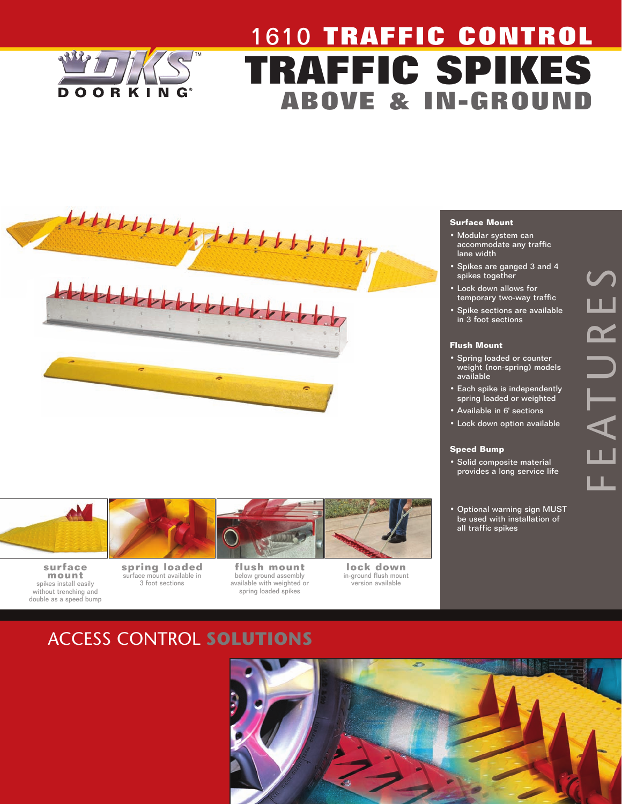

# 1610 **TRAFFIC CONTROL TRAFFIC SPIKES ABOVE & IN-GROUND**





- Modular system can accommodate any traffic lane width
- Spikes are ganged 3 and 4 spikes together
- Lock down allows for temporary two-way traffic
- Spike sections are available in 3 foot sections

#### **Flush Mount**

- Spring loaded or counter weight (non-spring) models available
- Each spike is independently spring loaded or weighted
- Available in 6' sections
- Lock down option available

#### **Speed Bump**

• Solid composite material provides a long service life

F T

E

 $\blacktriangleleft$ 

 $\vdash$ 

U

 $\boldsymbol{\alpha}$ 

E

 $\boldsymbol{\mathcal{S}}$ 

• Optional warning sign MUST be used with installation of all traffic spikes



**surface mount**  spikes install easily without trenching and double as a speed bump



**flush mount** below ground assembly available with weighted or spring loaded spikes

**lock down** in-ground flush mount version available

# ACCESS CONTROL **SOLUTIONS**

surface mount available in 3 foot sections